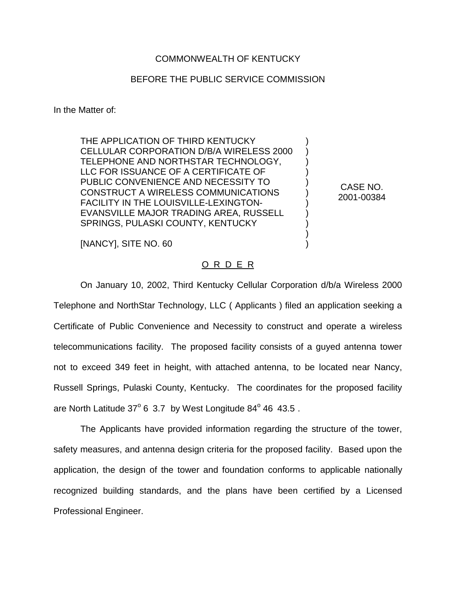## COMMONWEALTH OF KENTUCKY

## BEFORE THE PUBLIC SERVICE COMMISSION

In the Matter of:

THE APPLICATION OF THIRD KENTUCKY CELLULAR CORPORATION D/B/A WIRELESS 2000 TELEPHONE AND NORTHSTAR TECHNOLOGY, LLC FOR ISSUANCE OF A CERTIFICATE OF PUBLIC CONVENIENCE AND NECESSITY TO CONSTRUCT A WIRELESS COMMUNICATIONS FACILITY IN THE LOUISVILLE-LEXINGTON-EVANSVILLE MAJOR TRADING AREA, RUSSELL SPRINGS, PULASKI COUNTY, KENTUCKY

[NANCY], SITE NO. 60

## O R D E R

On January 10, 2002, Third Kentucky Cellular Corporation d/b/a Wireless 2000 Telephone and NorthStar Technology, LLC ( Applicants ) filed an application seeking a Certificate of Public Convenience and Necessity to construct and operate a wireless telecommunications facility. The proposed facility consists of a guyed antenna tower not to exceed 349 feet in height, with attached antenna, to be located near Nancy, Russell Springs, Pulaski County, Kentucky. The coordinates for the proposed facility are North Latitude  $37^{\circ}$  6 3.7 by West Longitude  $84^{\circ}$  46 43.5.

The Applicants have provided information regarding the structure of the tower, safety measures, and antenna design criteria for the proposed facility. Based upon the application, the design of the tower and foundation conforms to applicable nationally recognized building standards, and the plans have been certified by a Licensed Professional Engineer.

CASE NO. 2001-00384

) ) ) ) ) ) ) ) ) ) )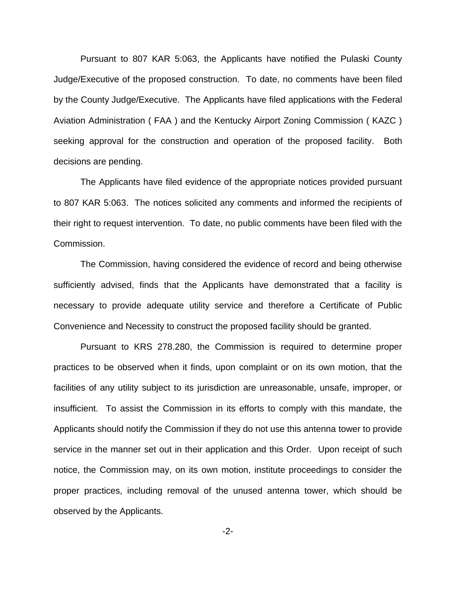Pursuant to 807 KAR 5:063, the Applicants have notified the Pulaski County Judge/Executive of the proposed construction. To date, no comments have been filed by the County Judge/Executive. The Applicants have filed applications with the Federal Aviation Administration ( FAA ) and the Kentucky Airport Zoning Commission ( KAZC ) seeking approval for the construction and operation of the proposed facility. Both decisions are pending.

The Applicants have filed evidence of the appropriate notices provided pursuant to 807 KAR 5:063. The notices solicited any comments and informed the recipients of their right to request intervention. To date, no public comments have been filed with the Commission.

The Commission, having considered the evidence of record and being otherwise sufficiently advised, finds that the Applicants have demonstrated that a facility is necessary to provide adequate utility service and therefore a Certificate of Public Convenience and Necessity to construct the proposed facility should be granted.

Pursuant to KRS 278.280, the Commission is required to determine proper practices to be observed when it finds, upon complaint or on its own motion, that the facilities of any utility subject to its jurisdiction are unreasonable, unsafe, improper, or insufficient. To assist the Commission in its efforts to comply with this mandate, the Applicants should notify the Commission if they do not use this antenna tower to provide service in the manner set out in their application and this Order. Upon receipt of such notice, the Commission may, on its own motion, institute proceedings to consider the proper practices, including removal of the unused antenna tower, which should be observed by the Applicants.

-2-